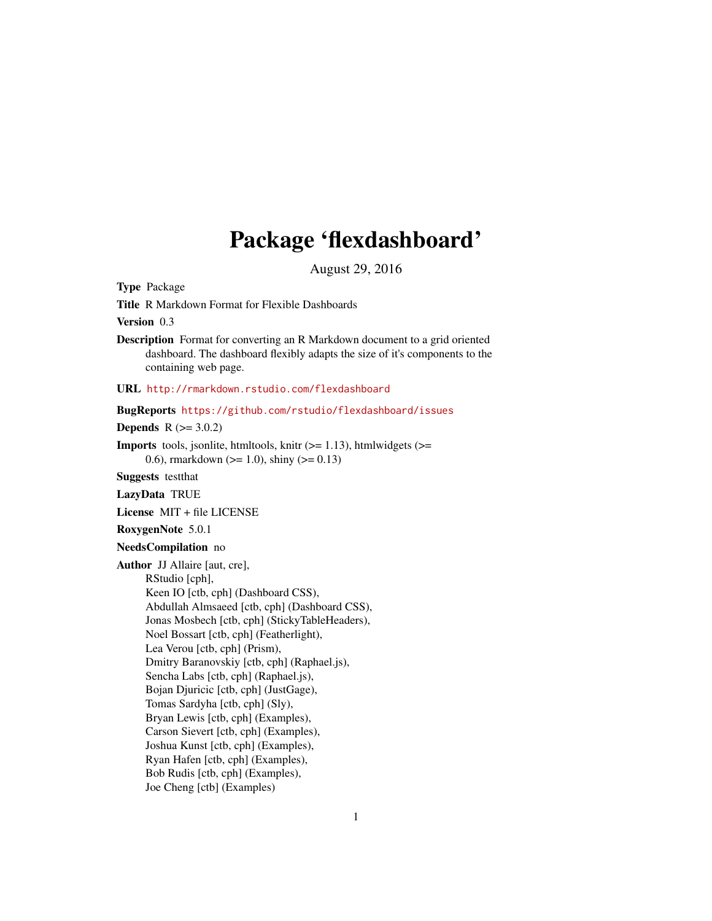# Package 'flexdashboard'

August 29, 2016

<span id="page-0-0"></span>Type Package

Title R Markdown Format for Flexible Dashboards

Version 0.3

Description Format for converting an R Markdown document to a grid oriented dashboard. The dashboard flexibly adapts the size of it's components to the containing web page.

URL <http://rmarkdown.rstudio.com/flexdashboard>

BugReports <https://github.com/rstudio/flexdashboard/issues>

**Depends**  $R (= 3.0.2)$ 

**Imports** tools, jsonlite, htmltools, knitr  $(>= 1.13)$ , htmlwidgets  $(>=$ 0.6), rmarkdown ( $>= 1.0$ ), shiny ( $>= 0.13$ )

Suggests testthat

LazyData TRUE

License MIT + file LICENSE

RoxygenNote 5.0.1

NeedsCompilation no

Author JJ Allaire [aut, cre], RStudio [cph], Keen IO [ctb, cph] (Dashboard CSS), Abdullah Almsaeed [ctb, cph] (Dashboard CSS), Jonas Mosbech [ctb, cph] (StickyTableHeaders), Noel Bossart [ctb, cph] (Featherlight), Lea Verou [ctb, cph] (Prism), Dmitry Baranovskiy [ctb, cph] (Raphael.js), Sencha Labs [ctb, cph] (Raphael.js), Bojan Djuricic [ctb, cph] (JustGage), Tomas Sardyha [ctb, cph] (Sly), Bryan Lewis [ctb, cph] (Examples), Carson Sievert [ctb, cph] (Examples), Joshua Kunst [ctb, cph] (Examples), Ryan Hafen [ctb, cph] (Examples), Bob Rudis [ctb, cph] (Examples), Joe Cheng [ctb] (Examples)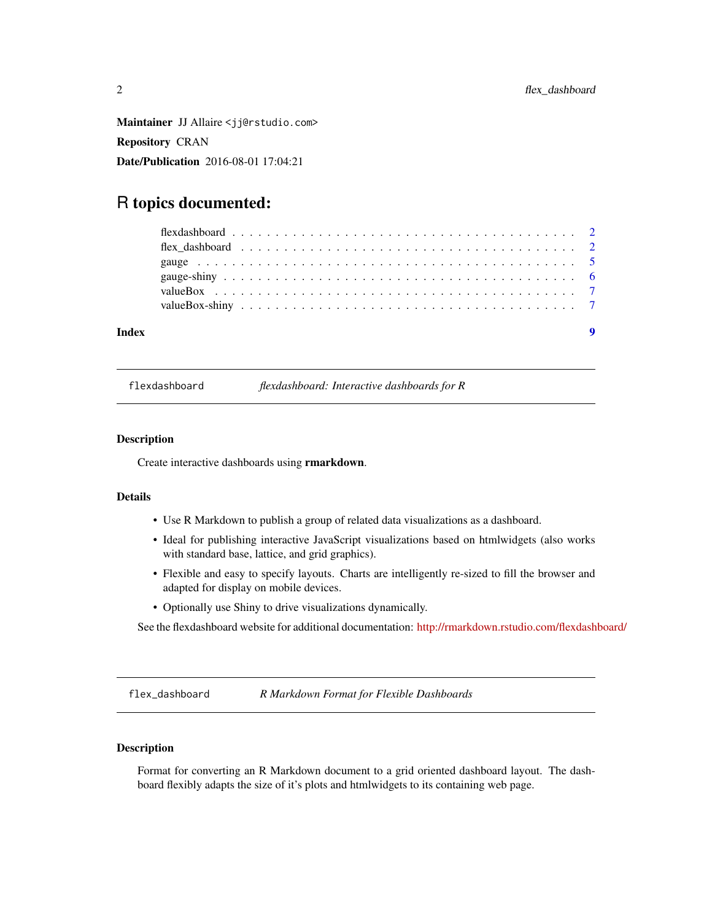<span id="page-1-0"></span>Maintainer JJ Allaire <jj@rstudio.com> Repository CRAN Date/Publication 2016-08-01 17:04:21

# R topics documented:

| Index |  |  |  |  |  |  |  |  |  |  |  |  |  |  |  |  |  |  |  |
|-------|--|--|--|--|--|--|--|--|--|--|--|--|--|--|--|--|--|--|--|

flexdashboard *flexdashboard: Interactive dashboards for R*

#### Description

Create interactive dashboards using rmarkdown.

#### Details

- Use R Markdown to publish a group of related data visualizations as a dashboard.
- Ideal for publishing interactive JavaScript visualizations based on htmlwidgets (also works with standard base, lattice, and grid graphics).
- Flexible and easy to specify layouts. Charts are intelligently re-sized to fill the browser and adapted for display on mobile devices.
- Optionally use Shiny to drive visualizations dynamically.

See the flexdashboard website for additional documentation: <http://rmarkdown.rstudio.com/flexdashboard/>

flex\_dashboard *R Markdown Format for Flexible Dashboards*

#### Description

Format for converting an R Markdown document to a grid oriented dashboard layout. The dashboard flexibly adapts the size of it's plots and htmlwidgets to its containing web page.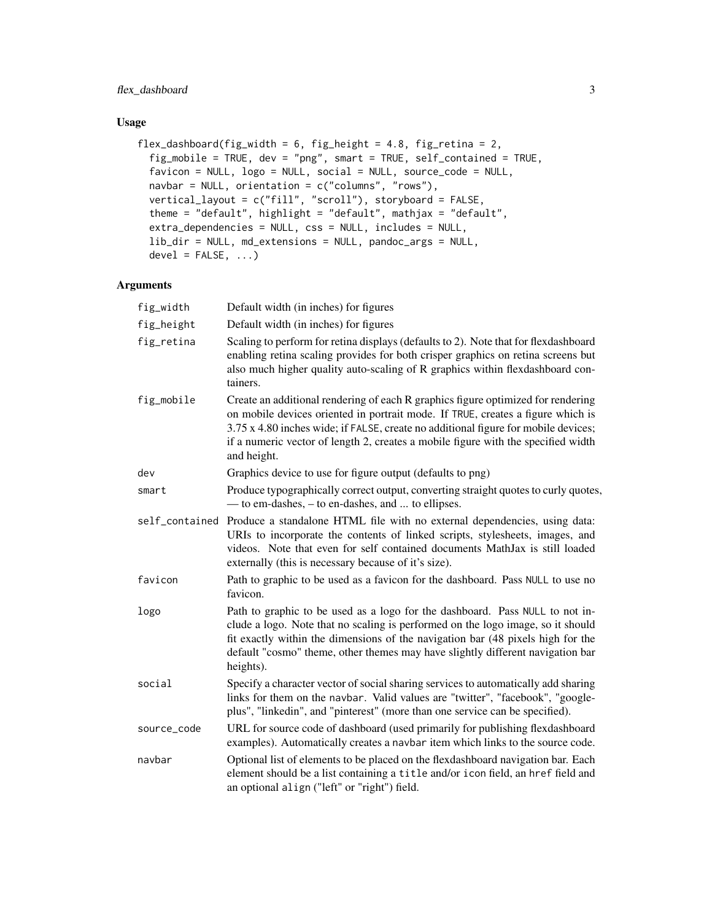#### flex\_dashboard 3

#### Usage

```
flex_dashboard(fig_width = 6, fig_height = 4.8, fig_retina = 2,
  fig_mobile = TRUE, dev = "png", smart = TRUE, self_contained = TRUE,
  favicon = NULL, logo = NULL, social = NULL, source_code = NULL,
 navbar = NULL, orientation = c("columns", "rows"),
 vertical_layout = c("fill", "scroll"), storyboard = FALSE,
  theme = "default", highlight = "default", mathjax = "default",
  extra_dependencies = NULL, css = NULL, includes = NULL,
  lib_dir = NULL, md_extensions = NULL, pandoc_args = NULL,
  devel = FALSE, ...)
```

| fig_width      | Default width (in inches) for figures                                                                                                                                                                                                                                                                                                                         |
|----------------|---------------------------------------------------------------------------------------------------------------------------------------------------------------------------------------------------------------------------------------------------------------------------------------------------------------------------------------------------------------|
| fig_height     | Default width (in inches) for figures                                                                                                                                                                                                                                                                                                                         |
| fig_retina     | Scaling to perform for retina displays (defaults to 2). Note that for flexdashboard<br>enabling retina scaling provides for both crisper graphics on retina screens but<br>also much higher quality auto-scaling of R graphics within flexdashboard con-<br>tainers.                                                                                          |
| fig_mobile     | Create an additional rendering of each R graphics figure optimized for rendering<br>on mobile devices oriented in portrait mode. If TRUE, creates a figure which is<br>3.75 x 4.80 inches wide; if FALSE, create no additional figure for mobile devices;<br>if a numeric vector of length 2, creates a mobile figure with the specified width<br>and height. |
| dev            | Graphics device to use for figure output (defaults to png)                                                                                                                                                                                                                                                                                                    |
| smart          | Produce typographically correct output, converting straight quotes to curly quotes,<br>— to em-dashes, – to en-dashes, and  to ellipses.                                                                                                                                                                                                                      |
| self_contained | Produce a standalone HTML file with no external dependencies, using data:<br>URIs to incorporate the contents of linked scripts, stylesheets, images, and<br>videos. Note that even for self contained documents MathJax is still loaded<br>externally (this is necessary because of it's size).                                                              |
| favicon        | Path to graphic to be used as a favicon for the dashboard. Pass NULL to use no<br>favicon.                                                                                                                                                                                                                                                                    |
| logo           | Path to graphic to be used as a logo for the dashboard. Pass NULL to not in-<br>clude a logo. Note that no scaling is performed on the logo image, so it should<br>fit exactly within the dimensions of the navigation bar (48 pixels high for the<br>default "cosmo" theme, other themes may have slightly different navigation bar<br>heights).             |
| social         | Specify a character vector of social sharing services to automatically add sharing<br>links for them on the navbar. Valid values are "twitter", "facebook", "google-<br>plus", "linkedin", and "pinterest" (more than one service can be specified).                                                                                                          |
| source_code    | URL for source code of dashboard (used primarily for publishing flexdashboard<br>examples). Automatically creates a navbar item which links to the source code.                                                                                                                                                                                               |
| navbar         | Optional list of elements to be placed on the flexdashboard navigation bar. Each<br>element should be a list containing a title and/or icon field, an href field and<br>an optional align ("left" or "right") field.                                                                                                                                          |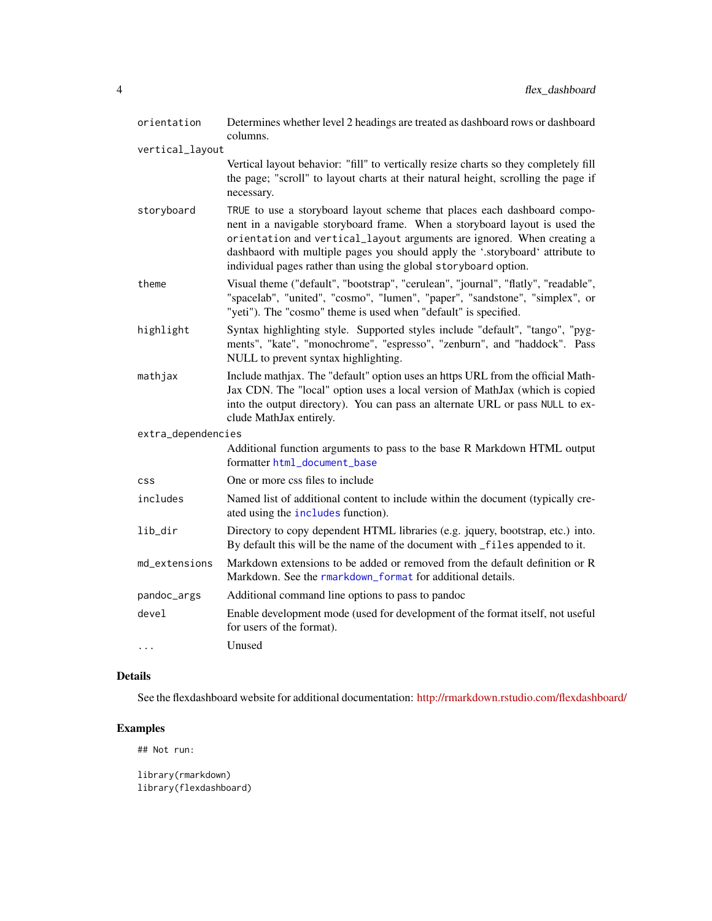<span id="page-3-0"></span>

| orientation        | Determines whether level 2 headings are treated as dashboard rows or dashboard<br>columns.                                                                                                                                                                                                                                                                                            |
|--------------------|---------------------------------------------------------------------------------------------------------------------------------------------------------------------------------------------------------------------------------------------------------------------------------------------------------------------------------------------------------------------------------------|
| vertical_layout    |                                                                                                                                                                                                                                                                                                                                                                                       |
|                    | Vertical layout behavior: "fill" to vertically resize charts so they completely fill<br>the page; "scroll" to layout charts at their natural height, scrolling the page if<br>necessary.                                                                                                                                                                                              |
| storyboard         | TRUE to use a storyboard layout scheme that places each dashboard compo-<br>nent in a navigable storyboard frame. When a storyboard layout is used the<br>orientation and vertical_layout arguments are ignored. When creating a<br>dashbaord with multiple pages you should apply the '.storyboard' attribute to<br>individual pages rather than using the global storyboard option. |
| theme              | Visual theme ("default", "bootstrap", "cerulean", "journal", "flatly", "readable",<br>"spacelab", "united", "cosmo", "lumen", "paper", "sandstone", "simplex", or<br>"yeti"). The "cosmo" theme is used when "default" is specified.                                                                                                                                                  |
| highlight          | Syntax highlighting style. Supported styles include "default", "tango", "pyg-<br>ments", "kate", "monochrome", "espresso", "zenburn", and "haddock". Pass<br>NULL to prevent syntax highlighting.                                                                                                                                                                                     |
| mathjax            | Include mathjax. The "default" option uses an https URL from the official Math-<br>Jax CDN. The "local" option uses a local version of MathJax (which is copied<br>into the output directory). You can pass an alternate URL or pass NULL to ex-<br>clude MathJax entirely.                                                                                                           |
| extra_dependencies |                                                                                                                                                                                                                                                                                                                                                                                       |
|                    | Additional function arguments to pass to the base R Markdown HTML output<br>formatter html_document_base                                                                                                                                                                                                                                                                              |
| <b>CSS</b>         | One or more css files to include                                                                                                                                                                                                                                                                                                                                                      |
| includes           | Named list of additional content to include within the document (typically cre-<br>ated using the includes function).                                                                                                                                                                                                                                                                 |
| lib_dir            | Directory to copy dependent HTML libraries (e.g. jquery, bootstrap, etc.) into.<br>By default this will be the name of the document with _files appended to it.                                                                                                                                                                                                                       |
| md_extensions      | Markdown extensions to be added or removed from the default definition or R<br>Markdown. See the rmarkdown_format for additional details.                                                                                                                                                                                                                                             |
| pandoc_args        | Additional command line options to pass to pandoc                                                                                                                                                                                                                                                                                                                                     |
| devel              | Enable development mode (used for development of the format itself, not useful<br>for users of the format).                                                                                                                                                                                                                                                                           |
| $\cdots$           | Unused                                                                                                                                                                                                                                                                                                                                                                                |

#### Details

See the flexdashboard website for additional documentation: <http://rmarkdown.rstudio.com/flexdashboard/>

### Examples

## Not run:

library(rmarkdown) library(flexdashboard)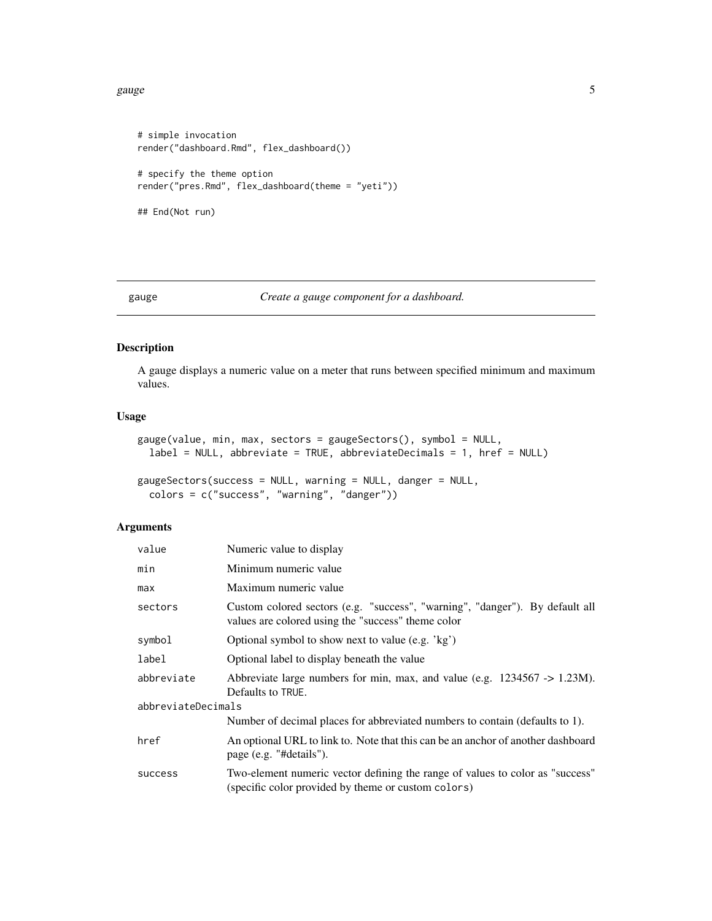<span id="page-4-0"></span>gauge 5 and 5 and 5 and 5 and 5 and 5 and 5 and 5 and 5 and 5 and 5 and 5 and 5 and 5 and 5 and 5 and 5 and 5 and 5 and 5 and 5 and 5 and 5 and 5 and 5 and 5 and 5 and 5 and 5 and 5 and 5 and 5 and 5 and 5 and 5 and 5 and

```
# simple invocation
render("dashboard.Rmd", flex_dashboard())
# specify the theme option
render("pres.Rmd", flex_dashboard(theme = "yeti"))
## End(Not run)
```

```
gauge Create a gauge component for a dashboard.
```
#### Description

A gauge displays a numeric value on a meter that runs between specified minimum and maximum values.

#### Usage

```
gauge(value, min, max, sectors = gaugeSectors(), symbol = NULL,
  label = NULL, abbreviate = TRUE, abbreviateDecimals = 1, href = NULL)
```

```
gaugeSectors(success = NULL, warning = NULL, danger = NULL,
 colors = c("success", "warning", "danger"))
```

| value              | Numeric value to display                                                                                                             |  |  |  |  |
|--------------------|--------------------------------------------------------------------------------------------------------------------------------------|--|--|--|--|
| min                | Minimum numeric value                                                                                                                |  |  |  |  |
| max                | Maximum numeric value                                                                                                                |  |  |  |  |
| sectors            | Custom colored sectors (e.g. "success", "warning", "danger"). By default all<br>values are colored using the "success" theme color   |  |  |  |  |
| symbol             | Optional symbol to show next to value (e.g. 'kg')                                                                                    |  |  |  |  |
| label              | Optional label to display beneath the value                                                                                          |  |  |  |  |
| abbreviate         | Abbreviate large numbers for min, max, and value (e.g. $1234567 \rightarrow 1.23M$ ).<br>Defaults to TRUE.                           |  |  |  |  |
| abbreviateDecimals |                                                                                                                                      |  |  |  |  |
|                    | Number of decimal places for abbreviated numbers to contain (defaults to 1).                                                         |  |  |  |  |
| href               | An optional URL to link to. Note that this can be an anchor of another dashboard<br>page (e.g. "#details").                          |  |  |  |  |
| success            | Two-element numeric vector defining the range of values to color as "success"<br>(specific color provided by theme or custom colors) |  |  |  |  |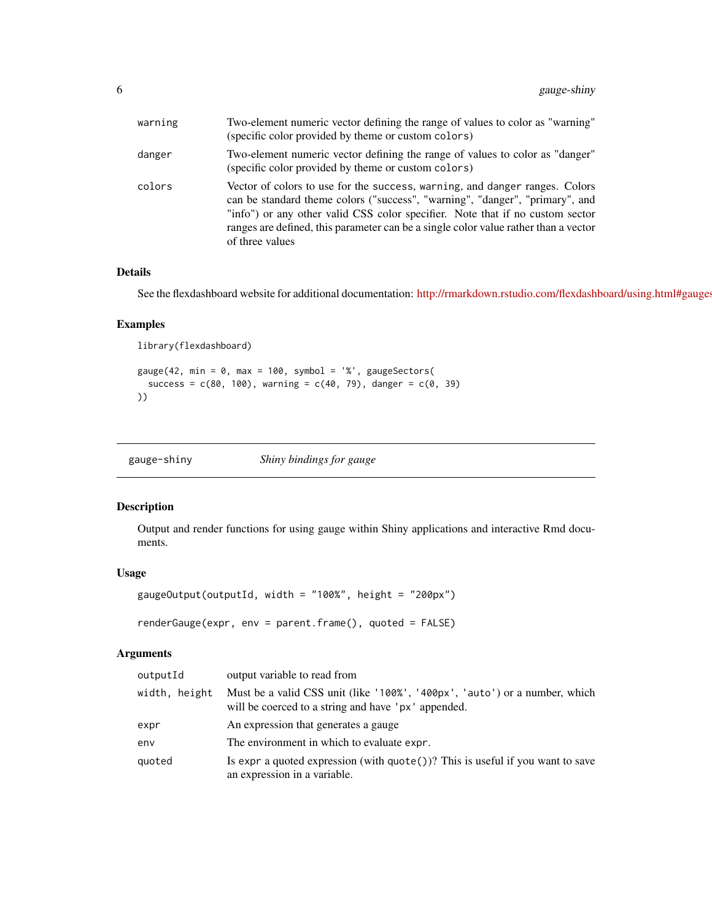<span id="page-5-0"></span>

| warning | Two-element numeric vector defining the range of values to color as "warning"<br>(specific color provided by theme or custom colors)                                                                                                                                                                                                                   |
|---------|--------------------------------------------------------------------------------------------------------------------------------------------------------------------------------------------------------------------------------------------------------------------------------------------------------------------------------------------------------|
| danger  | Two-element numeric vector defining the range of values to color as "danger"<br>(specific color provided by theme or custom colors)                                                                                                                                                                                                                    |
| colors  | Vector of colors to use for the success, warning, and danger ranges. Colors<br>can be standard theme colors ("success", "warning", "danger", "primary", and<br>"info") or any other valid CSS color specifier. Note that if no custom sector<br>ranges are defined, this parameter can be a single color value rather than a vector<br>of three values |

#### Details

See the flexdashboard website for additional documentation: <http://rmarkdown.rstudio.com/flexdashboard/using.html#gauges>

#### Examples

```
library(flexdashboard)
```

```
gauge(42, min = 0, max = 100, symbol = '%', gaugeSectors(
  success = c(80, 100), warning = c(40, 79), danger = c(0, 39)))
```

| gauge-shiny | Shiny bindings for gauge |
|-------------|--------------------------|
|             |                          |

#### Description

Output and render functions for using gauge within Shiny applications and interactive Rmd documents.

#### Usage

```
gaugeOutput(outputId, width = "100%", height = "200px")
renderGauge(expr, env = parent.frame(), quoted = FALSE)
```

| outputId      | output variable to read from                                                                                                      |
|---------------|-----------------------------------------------------------------------------------------------------------------------------------|
| width, height | Must be a valid CSS unit (like '100%', '400px', 'auto') or a number, which<br>will be coerced to a string and have 'px' appended. |
| expr          | An expression that generates a gauge                                                                                              |
| env           | The environment in which to evaluate expr.                                                                                        |
| quoted        | Is expr a quoted expression (with $\eta$ uote())? This is useful if you want to save<br>an expression in a variable.              |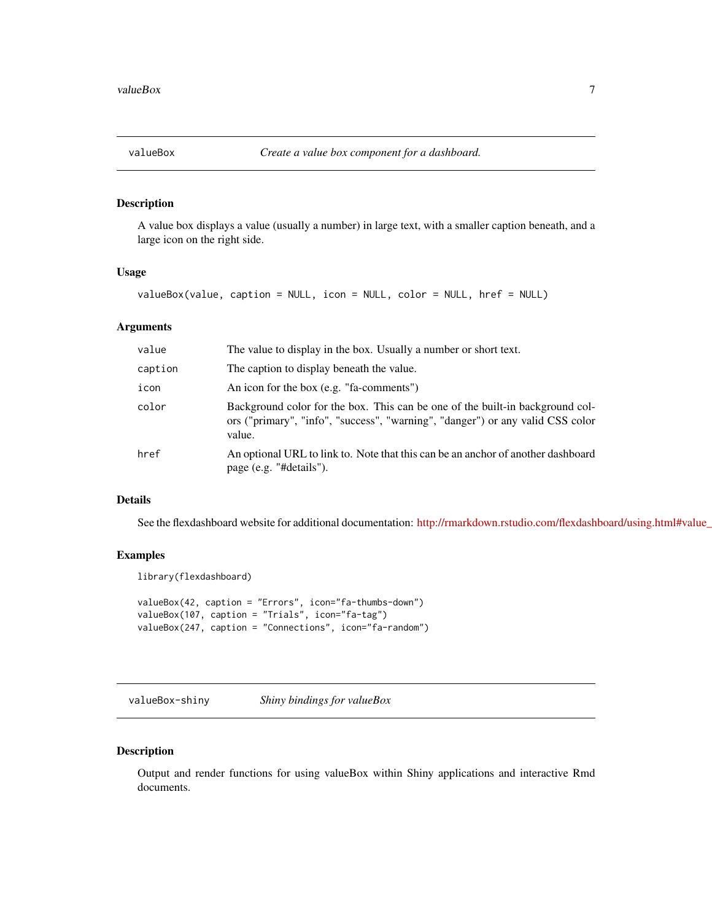<span id="page-6-0"></span>

#### Description

A value box displays a value (usually a number) in large text, with a smaller caption beneath, and a large icon on the right side.

#### Usage

valueBox(value, caption = NULL, icon = NULL, color = NULL, href = NULL)

#### Arguments

| value   | The value to display in the box. Usually a number or short text.                                                                                                          |
|---------|---------------------------------------------------------------------------------------------------------------------------------------------------------------------------|
| caption | The caption to display beneath the value.                                                                                                                                 |
| icon    | An icon for the box (e.g. "fa-comments")                                                                                                                                  |
| color   | Background color for the box. This can be one of the built-in background col-<br>ors ("primary", "info", "success", "warning", "danger") or any valid CSS color<br>value. |
| href    | An optional URL to link to. Note that this can be an anchor of another dashboard<br>page (e.g. "#details").                                                               |

#### Details

See the flexdashboard website for additional documentation: http://rmarkdown.rstudio.com/flexdashboard/using.html#value\_

#### Examples

library(flexdashboard)

```
valueBox(42, caption = "Errors", icon="fa-thumbs-down")
valueBox(107, caption = "Trials", icon="fa-tag")
valueBox(247, caption = "Connections", icon="fa-random")
```
valueBox-shiny *Shiny bindings for valueBox*

#### Description

Output and render functions for using valueBox within Shiny applications and interactive Rmd documents.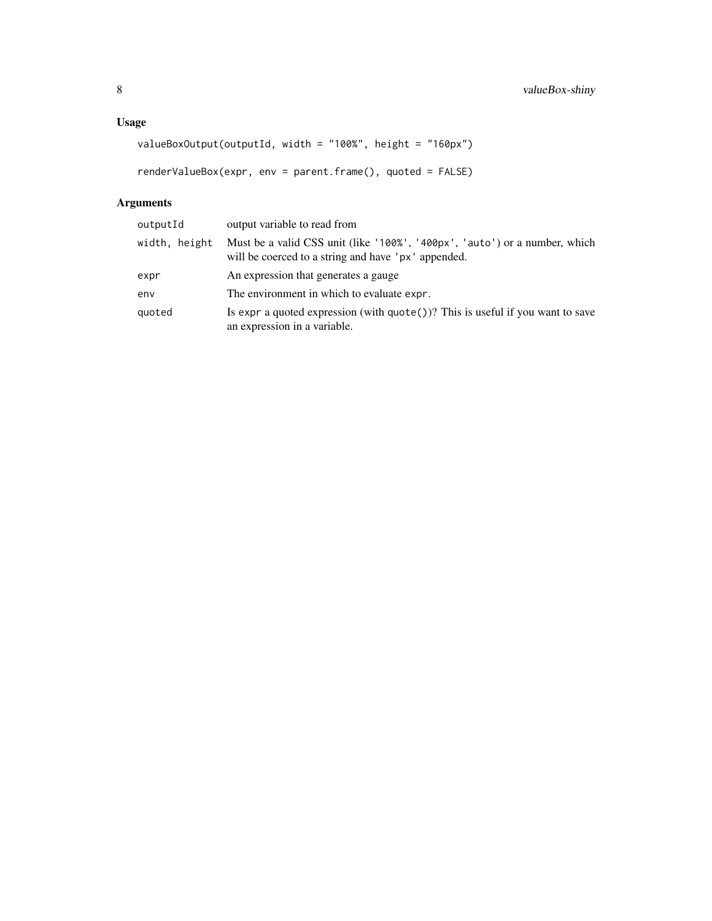```
valueBoxOutput(outputId, width = "100%", height = "160px")
```

```
renderValueBox(expr, env = parent.frame(), quoted = FALSE)
```

| output variable to read from                                                                                                      |
|-----------------------------------------------------------------------------------------------------------------------------------|
| Must be a valid CSS unit (like '100%', '400px', 'auto') or a number, which<br>will be coerced to a string and have 'px' appended. |
| An expression that generates a gauge                                                                                              |
| The environment in which to evaluate expr.                                                                                        |
| Is expr a quoted expression (with $\text{quote}()$ )? This is useful if you want to save<br>an expression in a variable.          |
|                                                                                                                                   |